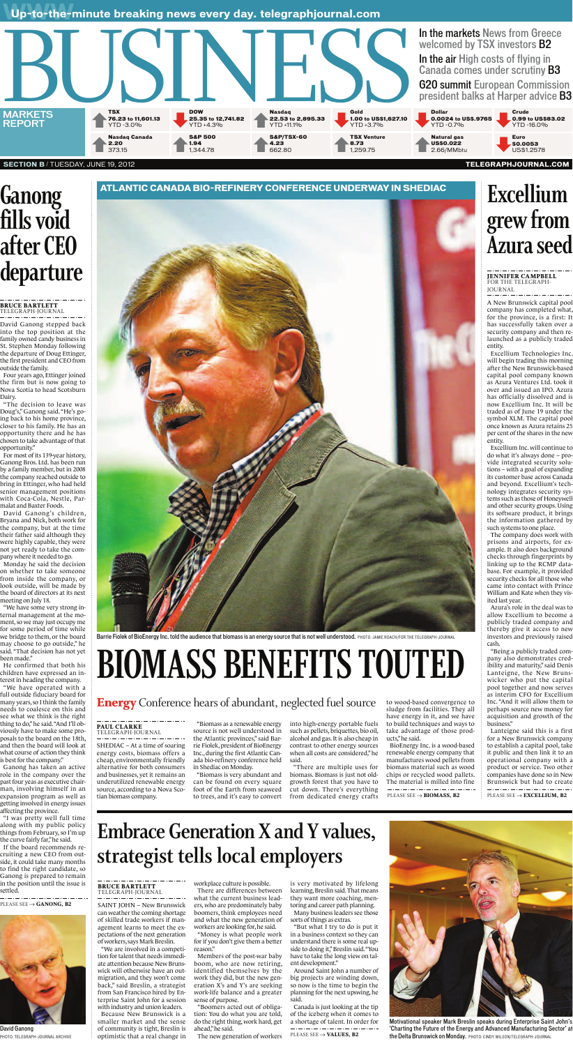Up-to-the-minute breaking news every day. telegraphjournal.com



#### **SECTION B / TUESDAY, JUNE 19, 2012**

# **Ganong<br>fills void** after CEO departure

#### **BRUCE BARTLETT** TELEGRAPH-JOURNAL

David Ganong stepped back into the top position at the family owned candy business in St. Stephen Monday following the departure of Doug Ettinger, the first president and CEO from outside the family.

Four years ago, Ettinger joined the firm but is now going to Nova Scotia to head Scotsburn Dairy.

"The decision to leave was Doug's," Ganong said. "He's going back to his home province, closer to his family. He has an opportunity there and he has chosen to take advantage of that opportunity."

For most of its 139-year history, Ganong Bros. Ltd. has been run by a family member, but in 2008 the company reached outside to bring in Ettinger, who had held senior management positions with Coca-Cola, Nestle, Parmalat and Baxter Foods.

David Ganong's children, Bryana and Nick, both work for the company, but at the time their father said although they were highly capable, they were not yet ready to take the company where it needed to go.

Monday he said the decision on whether to take someone from inside the company, or look outside, will be made by the board of directors at its next meeting on July 18.

"We have some very strong internal management at the moment, so we may just occupy me for some period of time while we bridge to them, or the board may choose to go outside," he said. "That decision has not yet been made." He confirmed that both his children have expressed an interest in heading the company. "We have operated with a full outside fiduciary board for many years, so I think the family needs to coalesce on this and see what we think is the right thing to do," he said. "And I'll obviously have to make some proposals to the board on the 18th, and then the board will look at what course of action they think is best for the company." Ganong has taken an active role in the company over the past four yeas as executive chairman, involving himself in an expansion program as well as getting involved in energy issues affecting the province. "I was pretty well full time along with my public policy things from February, so I'm up the curve fairly far," he said. If the board recommends recruiting a new CEO from outside, it could take many months to find the right candidate, so Ganong is prepared to remain in the position until the issue is settled.



## Excellium grew from **Azura seed**

### **JENNIFER CAMPBELL**<br>FOR THE TELEGRAPH-JOURNAL

A New Brunswick capital pool company has completed what, for the province, is a first: It has successfully taken over a security company and then relaunched as a publicly traded entity.

Excellium Technologies Inc. will begin trading this morning after the New Brunswick-based capital pool company known as Azura Ventures Ltd. took it over and issued an IPO. Azura has officially dissolved and is now Excellium Inc. It will be traded as of June 19 under the symbol XLM. The capital pool once known as Azura retains 25 per cent of the shares in the new entity.

Excellium Inc. will continue to do what it's always done – provide integrated security solutions – with a goal of expanding its customer base across Canada and beyond. Excellium's technology integrates security systems such as those of Honeywell and other security groups. Using its software product, it brings the information gathered by such systems to one place.

The company does work with prisons and airports, for example. It also does background checks through fingerprints by linking up to the RCMP database. For example, it provided security checks for all those who came into contact with Prince William and Kate when they visited last year.

Azura's role in the deal was to allow Excellium to become a publicly traded company and thereby give it access to new investors and previously raised cash. "Being a publicly traded company also demonstrates credibility and maturity," said Denis Lanteigne, the New Brunswicker who put the capital pool together and now serves as interim CFO for Excellium Inc. "And it will allow them to perhaps source new money for acquisition and growth of the business." Lanteigne said this is a first for a New Brunswick company to establish a capital pool, take it public and then link it to an operational company with a product or service. Two other companies have done so in New Brunswick but had to create

PLEASE SEE  $\rightarrow$  GANONG, B2



David Ganong PHOTO: TELEGRAPH-JOURNAL ARCHIVE

Barrie Fiolek of BioEnergy Inc. told the audience that biomass is an energy source that is not well understood. PHOTO: JAMIE ROACH/FOR THE TELEGRAPH-JOURNAL

# **BIOMASS BENEFITS TOUTED**

### **Energy** Conference hears of abundant, neglected fuel source

#### **PAUL CLARKE** TELEGRAPH-JOURNAL

SHEDIAC – At a time of soaring energy costs, biomass offers a cheap, environmentally friendly alternative for both consumers and businesses, yet it remains an underutilized renewable energy source, according to a Nova Scotian biomass company.

"Biomass as a renewable energy source is not well understood in the Atlantic provinces," said Barrie Fiolek, president of BioEnergy Inc., during the first Atlantic Canada bio-refinery conference held in Shediac on Monday.

"Biomass is very abundant and can be found on every square foot of the Earth from seaweed to trees, and it's easy to convert

into high-energy portable fuels such as pellets, briquettes, bio oil, alcohol and gas. It is also cheap in contrast to other energy sources when all costs are considered," he said.

"There are multiple uses for biomass. Biomass is just not oldgrowth forest that you have to cut down. There's everything from dedicated energy crafts

to wood-based convergence to sludge from facilities. They all have energy in it, and we have to build techniques and ways to take advantage of those products," he said.

BioEnergy Inc. is a wood-based renewable energy company that manufactures wood pellets from biomass material such as wood chips or recycled wood pallets. The material is milled into fine

PLEASE SEE  $\rightarrow$  BIOMASS, B2

PLEASE SEE  $\rightarrow$  EXCELLIUM, B2

## **Embrace Generation X and Y values,** strategist tells local employers

**BRUCE BARTLETT** TELEGRAPH-JOURNAL

SAINT JOHN - New Brunswick can weather the coming shortage of skilled trade workers if management learns to meet the expectations of the next generation of workers, says Mark Breslin.

"We are involved in a competition for talent that needs immediate attention because New Brunswick will otherwise have an outmigration, and they won't come back," said Breslin, a strategist from San Francisco hired by Enterprise Saint John for a session with industry and union leaders. Because New Brunswick is a smaller market and the sense of community is tight, Breslin is optimistic that a real change in

workplace culture is possible.

There are differences between what the current business leaders, who are predominately baby boomers, think employees need and what the new generation of workers are looking for, he said.

"Money is what people work for if you don't give them a better reason."

Members of the post-war baby boom, who are now retiring, identified themselves by the work they did, but the new generation X's and Y's are seeking work-life balance and a greater sense of purpose.

"Boomers acted out of obligation: You do what you are told, do the right thing, work hard, get ahead," he said.

The new generation of workers

is very motivated by lifelong learning, Breslin said. That means they want more coaching, mentoring and career path planning. Many business leaders see those sorts of things as extras.

"But what I try to do is put it in a business context so they can understand there is some real upside to doing it," Breslin said. "You have to take the long view on talent development."

Around Saint John a number of big projects are winding down, so now is the time to begin the planning for the next upswing, he said.

Canada is just looking at the tip of the iceberg when it comes to a shortage of talent. In order for

PLEASE SEE  $\rightarrow$  VALUES, B2



Motivational speaker Mark Breslin speaks during Enterprise Saint John's 'Charting the Future of the Energy and Advanced Manufacturing Sector' at the Delta Brunswick on Monday. PHOTO: CINDY WILSON/TELEGRAPH-JOURNAL